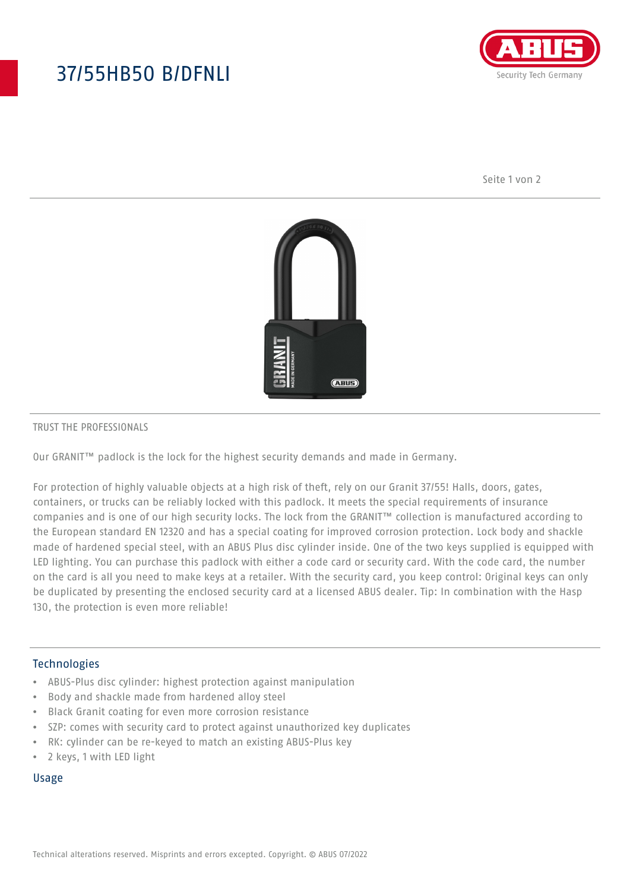# 37/55HB50 B/DFNLI



Seite 1 von 2



#### TRUST THE PROFESSIONALS

Our GRANIT™ padlock is the lock for the highest security demands and made in Germany.

For protection of highly valuable objects at a high risk of theft, rely on our Granit 37/55! Halls, doors, gates, containers, or trucks can be reliably locked with this padlock. It meets the special requirements of insurance companies and is one of our high security locks. The lock from the GRANIT™ collection is manufactured according to the European standard EN 12320 and has a special coating for improved corrosion protection. Lock body and shackle made of hardened special steel, with an ABUS Plus disc cylinder inside. One of the two keys supplied is equipped with LED lighting. You can purchase this padlock with either a code card or security card. With the code card, the number on the card is all you need to make keys at a retailer. With the security card, you keep control: Original keys can only be duplicated by presenting the enclosed security card at a licensed ABUS dealer. Tip: In combination with the Hasp 130, the protection is even more reliable!

### Technologies

- ABUS-Plus disc cylinder: highest protection against manipulation
- Body and shackle made from hardened alloy steel
- Black Granit coating for even more corrosion resistance
- SZP: comes with security card to protect against unauthorized key duplicates
- RK: cylinder can be re-keyed to match an existing ABUS-Plus key
- 2 keys, 1 with LED light

#### Usage